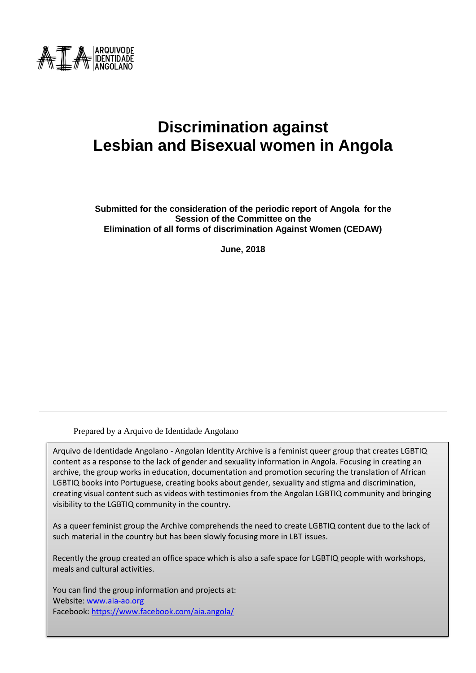

# **Discrimination against Lesbian and Bisexual women in Angola**

**Submitted for the consideration of the periodic report of Angola for the Session of the Committee on the Elimination of all forms of discrimination Against Women (CEDAW)**

**June, 2018**

Prepared by a Arquivo de Identidade Angolano

Arquivo de Identidade Angolano - Angolan Identity Archive is a feminist queer group that creates LGBTIQ content as a response to the lack of gender and sexuality information in Angola. Focusing in creating an archive, the group works in education, documentation and promotion securing the translation of African LGBTIQ books into Portuguese, creating books about gender, sexuality and stigma and discrimination, creating visual content such as videos with testimonies from the Angolan LGBTIQ community and bringing visibility to the LGBTIQ community in the country.

As a queer feminist group the Archive comprehends the need to create LGBTIQ content due to the lack of such material in the country but has been slowly focusing more in LBT issues.

Recently the group created an office space which is also a safe space for LGBTIQ people with workshops, meals and cultural activities.

You can find the group information and projects at: Website[: www.aia-ao.org](http://www.aia-ao.org/) Facebook: <https://www.facebook.com/aia.angola/>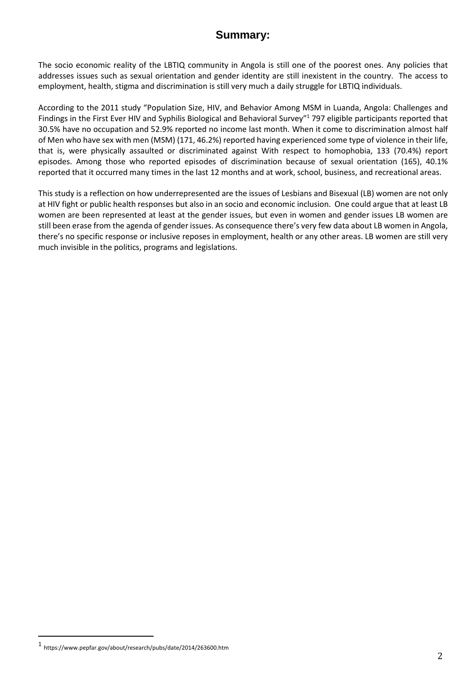### **Summary:**

The socio economic reality of the LBTIQ community in Angola is still one of the poorest ones. Any policies that addresses issues such as sexual orientation and gender identity are still inexistent in the country. The access to employment, health, stigma and discrimination is still very much a daily struggle for LBTIQ individuals.

According to the 2011 study "Population Size, HIV, and Behavior Among MSM in Luanda, Angola: Challenges and Findings in the First Ever HIV and Syphilis Biological and Behavioral Survey<sup>"1</sup> 797 eligible participants reported that 30.5% have no occupation and 52.9% reported no income last month. When it come to discrimination almost half of Men who have sex with men (MSM) (171, 46.2%) reported having experienced some type of violence in their life, that is, were physically assaulted or discriminated against With respect to homophobia, 133 (70.4%) report episodes. Among those who reported episodes of discrimination because of sexual orientation (165), 40.1% reported that it occurred many times in the last 12 months and at work, school, business, and recreational areas.

This study is a reflection on how underrepresented are the issues of Lesbians and Bisexual (LB) women are not only at HIV fight or public health responses but also in an socio and economic inclusion. One could argue that at least LB women are been represented at least at the gender issues, but even in women and gender issues LB women are still been erase from the agenda of gender issues. As consequence there's very few data about LB women in Angola, there's no specific response or inclusive reposes in employment, health or any other areas. LB women are still very much invisible in the politics, programs and legislations.

 $\overline{a}$ 

<sup>1</sup> https://www.pepfar.gov/about/research/pubs/date/2014/263600.htm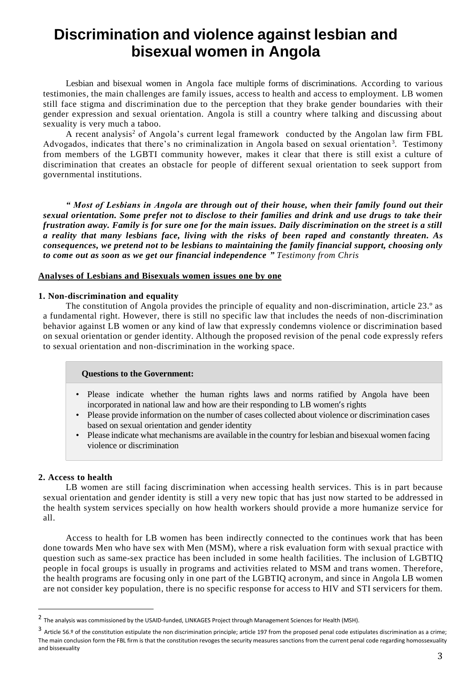## **Discrimination and violence against lesbian and bisexual women in Angola**

Lesbian and bisexual women in Angola face multiple forms of discriminations. According to various testimonies, the main challenges are family issues, access to health and access to employment. LB women still face stigma and discrimination due to the perception that they brake gender boundaries with their gender expression and sexual orientation. Angola is still a country where talking and discussing about sexuality is very much a taboo.

A recent analysis<sup>2</sup> of Angola's current legal framework conducted by the Angolan law firm FBL Advogados, indicates that there's no criminalization in Angola based on sexual orientation<sup>3</sup>. Testimony from members of the LGBTI community however, makes it clear that there is still exist a culture of discrimination that creates an obstacle for people of different sexual orientation to seek support from governmental institutions.

*" Most of Lesbians in Angola are through out of their house, when their family found out their sexual orientation. Some prefer not to disclose to their families and drink and use drugs to take their frustration away. Family is for sure one for the main issues. Daily discrimination on the street is a still a reality that many lesbians face, living with the risks of been raped and constantly threaten. As consequences, we pretend not to be lesbians to maintaining the family financial support, choosing only to come out as soon as we get our financial independence " Testimony from Chris*

#### **Analyses of Lesbians and Bisexuals women issues one by one**

#### **1. Non-discrimination and equality**

The constitution of Angola provides the principle of equality and non-discrimination, article 23.º as a fundamental right. However, there is still no specific law that includes the needs of non-discrimination behavior against LB women or any kind of law that expressly condemns violence or discrimination based on sexual orientation or gender identity. Although the proposed revision of the penal code expressly refers to sexual orientation and non-discrimination in the working space.

#### **Questions to the Government:**

- Please indicate whether the human rights laws and norms ratified by Angola have been incorporated in national law and how are their responding to LB women's rights
- Please provide information on the number of cases collected about violence or discrimination cases based on sexual orientation and gender identity
- Please indicate what mechanisms are available in the country for lesbian and bisexual women facing violence or discrimination

#### **2. Access to health**

 $\overline{a}$ 

LB women are still facing discrimination when accessing health services. This is in part because sexual orientation and gender identity is still a very new topic that has just now started to be addressed in the health system services specially on how health workers should provide a more humanize service for all.

Access to health for LB women has been indirectly connected to the continues work that has been done towards Men who have sex with Men (MSM), where a risk evaluation form with sexual practice with question such as same-sex practice has been included in some health facilities. The inclusion of LGBTIQ people in focal groups is usually in programs and activities related to MSM and trans women. Therefore, the health programs are focusing only in one part of the LGBTIQ acronym, and since in Angola LB women are not consider key population, there is no specific response for access to HIV and STI servicers for them.

<sup>&</sup>lt;sup>2</sup> The analysis was commissioned by the USAID-funded, LINKAGES Project through Management Sciences for Health (MSH).

<sup>&</sup>lt;sup>3</sup> Article 56.º of the constitution estipulate the non discrimination principle; article 197 from the proposed penal code estipulates discrimination as a crime; The main conclusion form the FBL firm is that the constitution revoges the security measures sanctions from the current penal code regarding homossexuality and bissexuality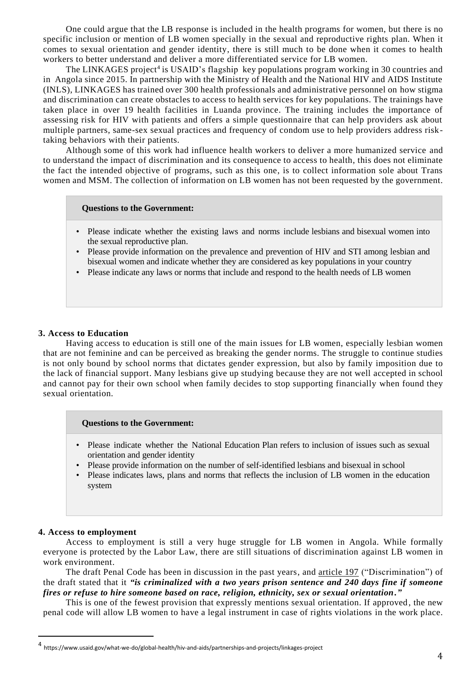One could argue that the LB response is included in the health programs for women, but there is no specific inclusion or mention of LB women specially in the sexual and reproductive rights plan. When it comes to sexual orientation and gender identity, there is still much to be done when it comes to health workers to better understand and deliver a more differentiated service for LB women.

The LINKAGES project<sup>4</sup> is USAID's flagship key populations program working in 30 countries and in Angola since 2015. In partnership with the Ministry of Health and the National HIV and AIDS Institute (INLS), LINKAGES has trained over 300 health professionals and administrative personnel on how stigma and discrimination can create obstacles to access to health services for key populations. The trainings have taken place in over 19 health facilities in Luanda province. The training includes the importance of assessing risk for HIV with patients and offers a simple questionnaire that can help providers ask about multiple partners, same-sex sexual practices and frequency of condom use to help providers address risktaking behaviors with their patients.

Although some of this work had influence health workers to deliver a more humanized service and to understand the impact of discrimination and its consequence to access to health, this does not eliminate the fact the intended objective of programs, such as this one, is to collect information sole about Trans women and MSM. The collection of information on LB women has not been requested by the government.

#### **Questions to the Government:**

- Please indicate whether the existing laws and norms include lesbians and bisexual women into the sexual reproductive plan.
- Please provide information on the prevalence and prevention of HIV and STI among lesbian and bisexual women and indicate whether they are considered as key populations in your country
- Please indicate any laws or norms that include and respond to the health needs of LB women

#### **3. Access to Education**

Having access to education is still one of the main issues for LB women, especially lesbian women that are not feminine and can be perceived as breaking the gender norms. The struggle to continue studies is not only bound by school norms that dictates gender expression, but also by family imposition due to the lack of financial support. Many lesbians give up studying because they are not well accepted in school and cannot pay for their own school when family decides to stop supporting financially when found they sexual orientation.

#### **Questions to the Government:**

- Please indicate whether the National Education Plan refers to inclusion of issues such as sexual orientation and gender identity
- Please provide information on the number of self-identified lesbians and bisexual in school
- Please indicates laws, plans and norms that reflects the inclusion of LB women in the education system

#### **4. Access to employment**

 $\overline{a}$ 

Access to employment is still a very huge struggle for LB women in Angola. While formally everyone is protected by the Labor Law, there are still situations of discrimination against LB women in work environment.

The draft Penal Code has been in discussion in the past years, and article 197 ("Discrimination") of the draft stated that it *"is criminalized with a two years prison sentence and 240 days fine if someone fires or refuse to hire someone based on race, religion, ethnicity, sex or sexual orientation."* 

This is one of the fewest provision that expressly mentions sexual orientation. If approved, the new penal code will allow LB women to have a legal instrument in case of rights violations in the work place.

<sup>4</sup> https://www.usaid.gov/what-we-do/global-health/hiv-and-aids/partnerships-and-projects/linkages-project